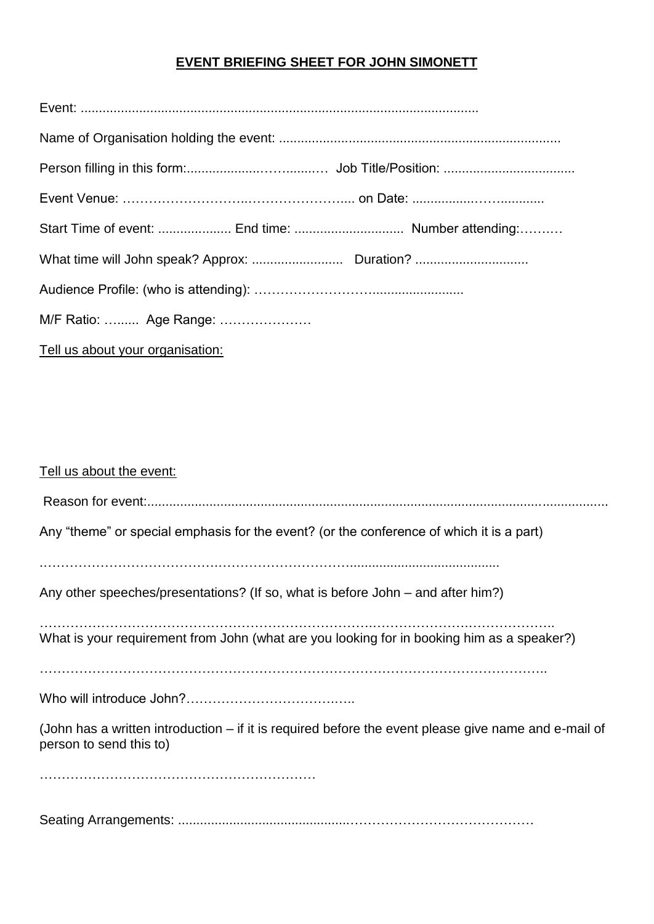## **EVENT BRIEFING SHEET FOR JOHN SIMONETT**

| M/F Ratio:  Age Range:           |  |
|----------------------------------|--|
| Tell us about your organisation: |  |

| Tell us about the event:                                                                                                        |
|---------------------------------------------------------------------------------------------------------------------------------|
|                                                                                                                                 |
| Any "theme" or special emphasis for the event? (or the conference of which it is a part)                                        |
| Any other speeches/presentations? (If so, what is before John – and after him?)                                                 |
| What is your requirement from John (what are you looking for in booking him as a speaker?)                                      |
|                                                                                                                                 |
| (John has a written introduction – if it is required before the event please give name and e-mail of<br>person to send this to) |
|                                                                                                                                 |

Seating Arrangements: ...............................................……………………………………